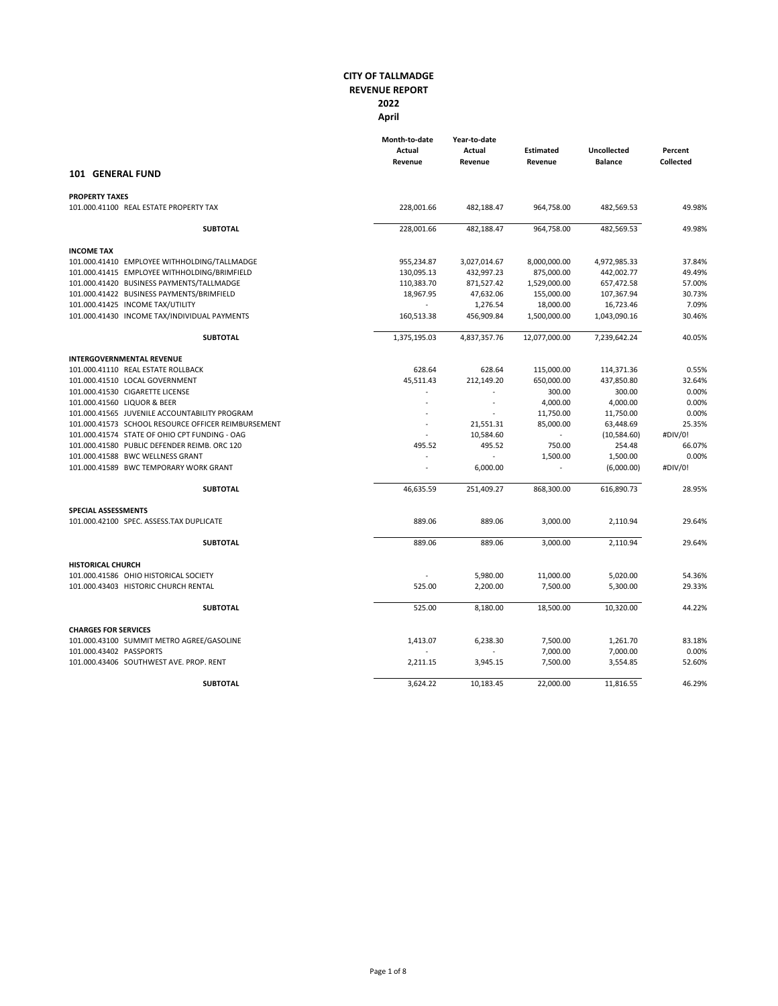|                                                     | Month-to-date<br>Actual<br>Revenue | Year-to-date<br>Actual<br>Revenue | <b>Estimated</b><br>Revenue | <b>Uncollected</b><br><b>Balance</b> | Percent<br>Collected |
|-----------------------------------------------------|------------------------------------|-----------------------------------|-----------------------------|--------------------------------------|----------------------|
| 101 GENERAL FUND                                    |                                    |                                   |                             |                                      |                      |
| <b>PROPERTY TAXES</b>                               |                                    |                                   |                             |                                      |                      |
| 101.000.41100 REAL ESTATE PROPERTY TAX              | 228,001.66                         | 482,188.47                        | 964,758.00                  | 482,569.53                           | 49.98%               |
| <b>SUBTOTAL</b>                                     | 228,001.66                         | 482,188.47                        | 964,758.00                  | 482,569.53                           | 49.98%               |
| <b>INCOME TAX</b>                                   |                                    |                                   |                             |                                      |                      |
| 101.000.41410 EMPLOYEE WITHHOLDING/TALLMADGE        | 955,234.87                         | 3,027,014.67                      | 8,000,000.00                | 4,972,985.33                         | 37.84%               |
| 101.000.41415 EMPLOYEE WITHHOLDING/BRIMFIELD        | 130,095.13                         | 432,997.23                        | 875,000.00                  | 442,002.77                           | 49.49%               |
| 101.000.41420 BUSINESS PAYMENTS/TALLMADGE           | 110,383.70                         | 871,527.42                        | 1,529,000.00                | 657,472.58                           | 57.00%               |
| 101.000.41422 BUSINESS PAYMENTS/BRIMFIELD           | 18,967.95                          | 47,632.06                         | 155,000.00                  | 107,367.94                           | 30.73%               |
| 101.000.41425 INCOME TAX/UTILITY                    |                                    | 1,276.54                          | 18,000.00                   | 16,723.46                            | 7.09%                |
| 101.000.41430 INCOME TAX/INDIVIDUAL PAYMENTS        | 160,513.38                         | 456,909.84                        | 1,500,000.00                | 1,043,090.16                         | 30.46%               |
| <b>SUBTOTAL</b>                                     | 1,375,195.03                       | 4,837,357.76                      | 12,077,000.00               | 7,239,642.24                         | 40.05%               |
| <b>INTERGOVERNMENTAL REVENUE</b>                    |                                    |                                   |                             |                                      |                      |
| 101.000.41110 REAL ESTATE ROLLBACK                  | 628.64                             | 628.64                            | 115,000.00                  | 114,371.36                           | 0.55%                |
| 101.000.41510 LOCAL GOVERNMENT                      | 45,511.43                          | 212,149.20                        | 650,000.00                  | 437,850.80                           | 32.64%               |
| 101.000.41530 CIGARETTE LICENSE                     |                                    |                                   | 300.00                      | 300.00                               | 0.00%                |
| 101.000.41560 LIQUOR & BEER                         |                                    | $\overline{\phantom{a}}$          | 4,000.00                    | 4,000.00                             | 0.00%                |
| 101.000.41565 JUVENILE ACCOUNTABILITY PROGRAM       |                                    |                                   | 11,750.00                   | 11,750.00                            | 0.00%                |
| 101.000.41573 SCHOOL RESOURCE OFFICER REIMBURSEMENT | $\sim$                             | 21,551.31                         | 85,000.00                   | 63,448.69                            | 25.35%               |
| 101.000.41574 STATE OF OHIO CPT FUNDING - OAG       |                                    | 10,584.60                         |                             | (10,584.60)                          | #DIV/0!              |
| 101.000.41580 PUBLIC DEFENDER REIMB. ORC 120        | 495.52                             | 495.52                            | 750.00                      | 254.48                               | 66.07%               |
| 101.000.41588 BWC WELLNESS GRANT                    |                                    |                                   | 1,500.00                    | 1,500.00                             | 0.00%                |
| 101.000.41589 BWC TEMPORARY WORK GRANT              | ÷.                                 | 6,000.00                          |                             | (6,000.00)                           | #DIV/0!              |
| <b>SUBTOTAL</b>                                     | 46,635.59                          | 251,409.27                        | 868,300.00                  | 616,890.73                           | 28.95%               |
| SPECIAL ASSESSMENTS                                 |                                    |                                   |                             |                                      |                      |
| 101.000.42100 SPEC. ASSESS.TAX DUPLICATE            | 889.06                             | 889.06                            | 3,000.00                    | 2,110.94                             | 29.64%               |
| <b>SUBTOTAL</b>                                     | 889.06                             | 889.06                            | 3,000.00                    | 2,110.94                             | 29.64%               |
| <b>HISTORICAL CHURCH</b>                            |                                    |                                   |                             |                                      |                      |
| 101.000.41586 OHIO HISTORICAL SOCIETY               |                                    | 5,980.00                          | 11,000.00                   | 5,020.00                             | 54.36%               |
| 101.000.43403 HISTORIC CHURCH RENTAL                | 525.00                             | 2,200.00                          | 7,500.00                    | 5,300.00                             | 29.33%               |
| <b>SUBTOTAL</b>                                     | 525.00                             | 8,180.00                          | 18,500.00                   | 10,320.00                            | 44.22%               |
| <b>CHARGES FOR SERVICES</b>                         |                                    |                                   |                             |                                      |                      |
| 101.000.43100 SUMMIT METRO AGREE/GASOLINE           | 1,413.07                           | 6,238.30                          | 7,500.00                    | 1,261.70                             | 83.18%               |
| 101.000.43402 PASSPORTS                             |                                    |                                   | 7,000.00                    | 7,000.00                             | 0.00%                |
| 101.000.43406 SOUTHWEST AVE, PROP, RENT             | 2,211.15                           | 3,945.15                          | 7,500.00                    | 3,554.85                             | 52.60%               |
| <b>SUBTOTAL</b>                                     | 3,624.22                           | 10,183.45                         | 22,000.00                   | 11,816.55                            | 46.29%               |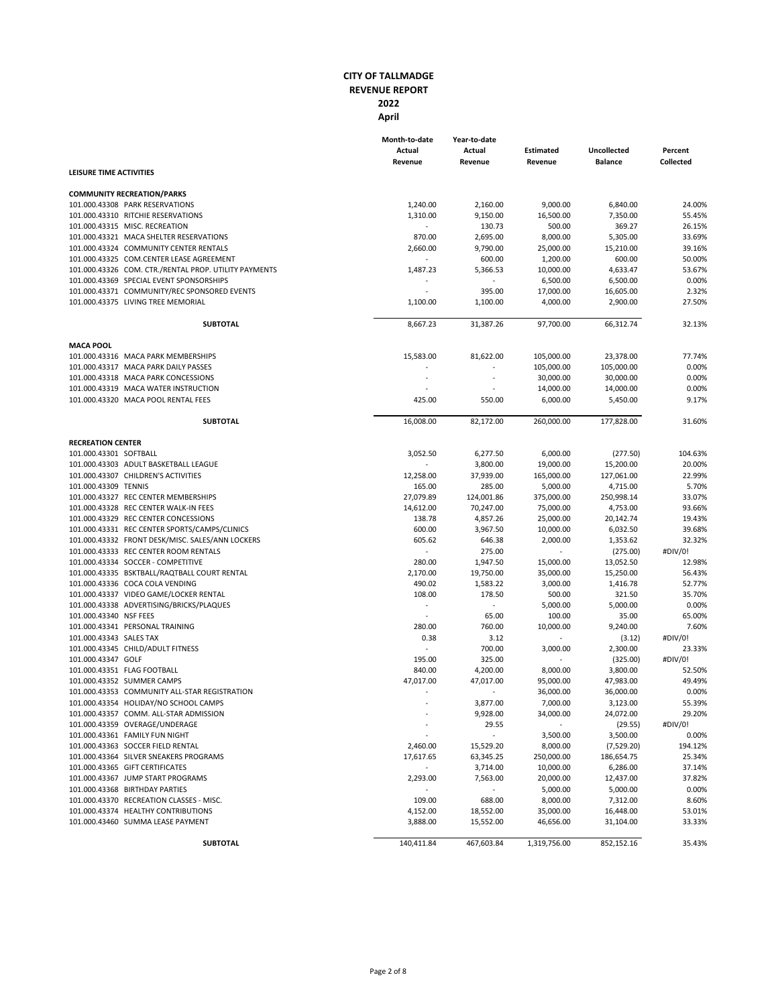|                                                                                           | Month-to-date<br>Actual<br>Revenue | Year-to-date<br>Actual<br>Revenue | <b>Estimated</b><br>Revenue | <b>Uncollected</b><br><b>Balance</b> | Percent<br><b>Collected</b> |
|-------------------------------------------------------------------------------------------|------------------------------------|-----------------------------------|-----------------------------|--------------------------------------|-----------------------------|
| LEISURE TIME ACTIVITIES                                                                   |                                    |                                   |                             |                                      |                             |
| <b>COMMUNITY RECREATION/PARKS</b>                                                         |                                    |                                   |                             |                                      |                             |
| 101.000.43308 PARK RESERVATIONS                                                           | 1,240.00                           | 2,160.00                          | 9,000.00                    | 6,840.00                             | 24.00%                      |
| 101.000.43310 RITCHIE RESERVATIONS                                                        | 1,310.00                           | 9,150.00                          | 16,500.00                   | 7,350.00                             | 55.45%                      |
| 101.000.43315 MISC. RECREATION                                                            | $\omega$                           | 130.73                            | 500.00                      | 369.27                               | 26.15%                      |
| 101.000.43321 MACA SHELTER RESERVATIONS                                                   | 870.00                             | 2,695.00                          | 8,000.00                    | 5,305.00                             | 33.69%                      |
| 101.000.43324 COMMUNITY CENTER RENTALS                                                    | 2,660.00                           | 9,790.00                          | 25,000.00                   | 15,210.00                            | 39.16%                      |
| 101.000.43325 COM.CENTER LEASE AGREEMENT                                                  |                                    | 600.00                            | 1,200.00                    | 600.00                               | 50.00%                      |
| 101.000.43326 COM. CTR./RENTAL PROP. UTILITY PAYMENTS                                     | 1,487.23                           | 5,366.53                          | 10,000.00                   | 4,633.47                             | 53.67%                      |
| 101.000.43369 SPECIAL EVENT SPONSORSHIPS                                                  | $\sim$                             |                                   | 6,500.00                    | 6,500.00                             | 0.00%<br>2.32%              |
| 101.000.43371 COMMUNITY/REC SPONSORED EVENTS<br>101.000.43375 LIVING TREE MEMORIAL        | 1,100.00                           | 395.00<br>1,100.00                | 17,000.00<br>4,000.00       | 16,605.00<br>2,900.00                | 27.50%                      |
|                                                                                           |                                    |                                   |                             |                                      |                             |
| <b>SUBTOTAL</b>                                                                           | 8,667.23                           | 31,387.26                         | 97,700.00                   | 66,312.74                            | 32.13%                      |
| <b>MACA POOL</b>                                                                          |                                    |                                   |                             |                                      |                             |
| 101.000.43316 MACA PARK MEMBERSHIPS                                                       | 15,583.00                          | 81,622.00                         | 105,000.00                  | 23,378.00                            | 77.74%                      |
| 101.000.43317 MACA PARK DAILY PASSES                                                      |                                    |                                   | 105,000.00                  | 105,000.00                           | 0.00%                       |
| 101.000.43318 MACA PARK CONCESSIONS                                                       | $\sim$                             | $\sim$                            | 30,000.00                   | 30,000.00                            | 0.00%                       |
| 101.000.43319 MACA WATER INSTRUCTION                                                      |                                    |                                   | 14,000.00                   | 14,000.00                            | 0.00%                       |
| 101.000.43320 MACA POOL RENTAL FEES                                                       | 425.00                             | 550.00                            | 6,000.00                    | 5,450.00                             | 9.17%                       |
| <b>SUBTOTAL</b>                                                                           | 16,008.00                          | 82,172.00                         | 260,000.00                  | 177,828.00                           | 31.60%                      |
| <b>RECREATION CENTER</b>                                                                  |                                    |                                   |                             |                                      |                             |
| 101.000.43301 SOFTBALL                                                                    | 3,052.50                           | 6,277.50                          | 6,000.00                    | (277.50)                             | 104.63%                     |
| 101.000.43303 ADULT BASKETBALL LEAGUE                                                     |                                    | 3,800.00                          | 19,000.00                   | 15,200.00                            | 20.00%                      |
| 101.000.43307 CHILDREN'S ACTIVITIES                                                       | 12,258.00                          | 37,939.00                         | 165,000.00                  | 127,061.00                           | 22.99%                      |
| 101.000.43309 TENNIS                                                                      | 165.00                             | 285.00                            | 5,000.00                    | 4,715.00                             | 5.70%                       |
| 101.000.43327 REC CENTER MEMBERSHIPS                                                      | 27,079.89                          | 124,001.86                        | 375,000.00                  | 250,998.14                           | 33.07%                      |
| 101.000.43328 REC CENTER WALK-IN FEES                                                     | 14,612.00                          | 70,247.00                         | 75,000.00                   | 4,753.00                             | 93.66%                      |
| 101.000.43329 REC CENTER CONCESSIONS                                                      | 138.78                             | 4,857.26                          | 25,000.00                   | 20,142.74                            | 19.43%                      |
| 101.000.43331 REC CENTER SPORTS/CAMPS/CLINICS                                             | 600.00                             | 3,967.50                          | 10,000.00                   | 6,032.50                             | 39.68%<br>32.32%            |
| 101.000.43332 FRONT DESK/MISC. SALES/ANN LOCKERS<br>101.000.43333 REC CENTER ROOM RENTALS | 605.62<br>$\blacksquare$           | 646.38<br>275.00                  | 2,000.00                    | 1,353.62                             | #DIV/0!                     |
| 101.000.43334 SOCCER - COMPETITIVE                                                        | 280.00                             | 1,947.50                          | 15,000.00                   | (275.00)<br>13,052.50                | 12.98%                      |
| 101.000.43335 BSKTBALL/RAQTBALL COURT RENTAL                                              | 2,170.00                           | 19,750.00                         | 35,000.00                   | 15,250.00                            | 56.43%                      |
| 101.000.43336 COCA COLA VENDING                                                           | 490.02                             | 1,583.22                          | 3,000.00                    | 1,416.78                             | 52.77%                      |
| 101.000.43337 VIDEO GAME/LOCKER RENTAL                                                    | 108.00                             | 178.50                            | 500.00                      | 321.50                               | 35.70%                      |
| 101.000.43338 ADVERTISING/BRICKS/PLAQUES                                                  | $\sim$                             | $\sim$                            | 5,000.00                    | 5,000.00                             | 0.00%                       |
| 101.000.43340 NSF FEES                                                                    |                                    | 65.00                             | 100.00                      | 35.00                                | 65.00%                      |
| 101.000.43341 PERSONAL TRAINING                                                           | 280.00                             | 760.00                            | 10,000.00                   | 9,240.00                             | 7.60%                       |
| 101.000.43343 SALES TAX                                                                   | 0.38                               | 3.12                              |                             | (3.12)                               | #DIV/0!                     |
| 101.000.43345 CHILD/ADULT FITNESS                                                         | $\blacksquare$                     | 700.00                            | 3,000.00                    | 2,300.00                             | 23.33%                      |
| 101.000.43347 GOLF                                                                        | 195.00                             | 325.00                            |                             | (325.00)                             | #DIV/0!                     |
| 101.000.43351 FLAG FOOTBALL                                                               | 840.00                             | 4,200.00                          | 8,000.00                    | 3,800.00                             | 52.50%                      |
| 101.000.43352 SUMMER CAMPS                                                                | 47,017.00                          | 47,017.00                         | 95,000.00                   | 47,983.00                            | 49.49%                      |
| 101.000.43353 COMMUNITY ALL-STAR REGISTRATION                                             | $\bar{a}$                          |                                   | 36,000.00                   | 36,000.00                            | 0.00%                       |
| 101.000.43354 HOLIDAY/NO SCHOOL CAMPS                                                     |                                    | 3,877.00                          | 7,000.00                    | 3,123.00                             | 55.39%                      |
| 101.000.43357 COMM. ALL-STAR ADMISSION                                                    |                                    | 9,928.00                          | 34,000.00                   | 24,072.00                            | 29.20%                      |
| 101.000.43359 OVERAGE/UNDERAGE                                                            |                                    | 29.55                             |                             | (29.55)                              | #DIV/0!                     |
| 101.000.43361 FAMILY FUN NIGHT                                                            |                                    |                                   | 3,500.00                    | 3,500.00                             | 0.00%                       |
| 101.000.43363 SOCCER FIELD RENTAL                                                         | 2,460.00                           | 15,529.20                         | 8,000.00                    | (7,529.20)                           | 194.12%                     |
| 101.000.43364 SILVER SNEAKERS PROGRAMS                                                    | 17,617.65                          | 63,345.25                         | 250,000.00                  | 186,654.75                           | 25.34%                      |
| 101.000.43365 GIFT CERTIFICATES                                                           | $\omega$                           | 3,714.00                          | 10,000.00                   | 6,286.00                             | 37.14%                      |
| 101.000.43367 JUMP START PROGRAMS                                                         | 2,293.00                           | 7,563.00                          | 20,000.00                   | 12,437.00                            | 37.82%                      |
| 101.000.43368 BIRTHDAY PARTIES                                                            |                                    | $\sim$                            | 5,000.00                    | 5,000.00                             | 0.00%                       |
| 101.000.43370 RECREATION CLASSES - MISC.                                                  | 109.00                             | 688.00                            | 8,000.00                    | 7,312.00                             | 8.60%                       |
| 101.000.43374 HEALTHY CONTRIBUTIONS                                                       | 4,152.00                           | 18,552.00                         | 35,000.00                   | 16,448.00                            | 53.01%                      |
| 101.000.43460 SUMMA LEASE PAYMENT                                                         | 3,888.00                           | 15,552.00                         | 46,656.00                   | 31,104.00                            | 33.33%                      |
| <b>SUBTOTAL</b>                                                                           | 140,411.84                         | 467,603.84                        | 1,319,756.00                | 852,152.16                           | 35.43%                      |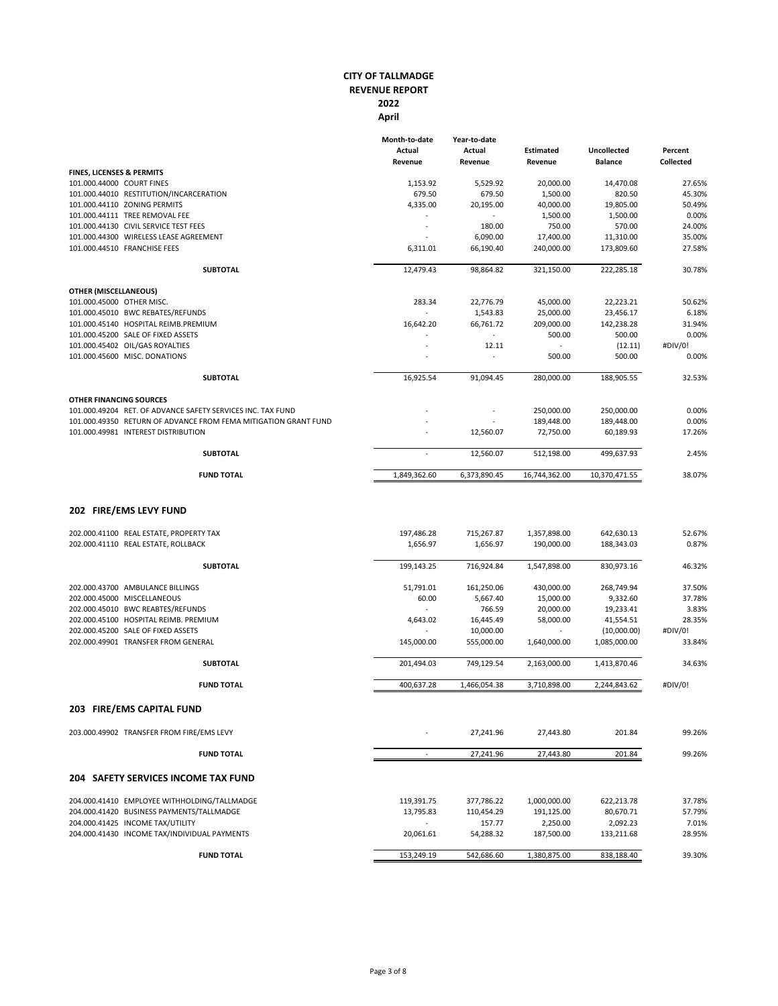|                                                                                                          | Month-to-date<br>Actual<br>Revenue | Year-to-date<br>Actual<br>Revenue | <b>Estimated</b><br>Revenue | <b>Uncollected</b><br><b>Balance</b> | Percent<br><b>Collected</b> |
|----------------------------------------------------------------------------------------------------------|------------------------------------|-----------------------------------|-----------------------------|--------------------------------------|-----------------------------|
| <b>FINES, LICENSES &amp; PERMITS</b>                                                                     |                                    |                                   |                             |                                      |                             |
| 101.000.44000 COURT FINES                                                                                | 1,153.92                           | 5,529.92                          | 20,000.00                   | 14,470.08                            | 27.65%                      |
| 101.000.44010 RESTITUTION/INCARCERATION                                                                  | 679.50                             | 679.50                            | 1,500.00                    | 820.50                               | 45.30%                      |
| 101.000.44110 ZONING PERMITS                                                                             | 4,335.00                           | 20,195.00                         | 40,000.00                   | 19,805.00                            | 50.49%                      |
| 101.000.44111 TREE REMOVAL FEE                                                                           |                                    |                                   | 1,500.00                    | 1,500.00                             | 0.00%                       |
| 101.000.44130 CIVIL SERVICE TEST FEES                                                                    | ä,                                 | 180.00                            | 750.00                      | 570.00                               | 24.00%                      |
| 101.000.44300 WIRELESS LEASE AGREEMENT                                                                   |                                    | 6,090.00                          | 17,400.00                   | 11,310.00                            | 35.00%                      |
| 101.000.44510 FRANCHISE FEES                                                                             | 6,311.01                           | 66,190.40                         | 240,000.00                  | 173,809.60                           | 27.58%                      |
| <b>SUBTOTAL</b>                                                                                          | 12,479.43                          | 98,864.82                         | 321,150.00                  | 222,285.18                           | 30.78%                      |
| <b>OTHER (MISCELLANEOUS)</b>                                                                             |                                    |                                   |                             |                                      |                             |
| 101.000.45000 OTHER MISC.                                                                                | 283.34                             | 22,776.79                         | 45,000.00                   | 22,223.21                            | 50.62%                      |
| 101.000.45010 BWC REBATES/REFUNDS                                                                        |                                    | 1,543.83                          | 25,000.00                   | 23,456.17                            | 6.18%                       |
| 101.000.45140 HOSPITAL REIMB.PREMIUM                                                                     | 16,642.20                          | 66,761.72                         | 209,000.00                  | 142,238.28                           | 31.94%                      |
| 101.000.45200 SALE OF FIXED ASSETS                                                                       |                                    | $\sim$                            | 500.00                      | 500.00                               | 0.00%                       |
| 101.000.45402 OIL/GAS ROYALTIES                                                                          |                                    | 12.11                             |                             | (12.11)                              | #DIV/0!                     |
| 101.000.45600 MISC. DONATIONS                                                                            |                                    |                                   | 500.00                      | 500.00                               | 0.00%                       |
| <b>SUBTOTAL</b>                                                                                          | 16,925.54                          | 91,094.45                         | 280,000.00                  | 188,905.55                           | 32.53%                      |
| <b>OTHER FINANCING SOURCES</b>                                                                           |                                    |                                   |                             |                                      |                             |
| 101.000.49204 RET. OF ADVANCE SAFETY SERVICES INC. TAX FUND                                              |                                    |                                   | 250,000.00                  | 250,000.00                           | 0.00%                       |
| 101.000.49350 RETURN OF ADVANCE FROM FEMA MITIGATION GRANT FUND                                          |                                    |                                   | 189,448.00                  | 189,448.00                           | 0.00%                       |
| 101.000.49981 INTEREST DISTRIBUTION                                                                      |                                    | 12,560.07                         | 72,750.00                   | 60,189.93                            | 17.26%                      |
| <b>SUBTOTAL</b>                                                                                          | $\sim$                             | 12,560.07                         | 512,198.00                  | 499,637.93                           | 2.45%                       |
| <b>FUND TOTAL</b>                                                                                        | 1,849,362.60                       | 6,373,890.45                      | 16,744,362.00               | 10,370,471.55                        | 38.07%                      |
| 202 FIRE/EMS LEVY FUND<br>202.000.41100 REAL ESTATE, PROPERTY TAX<br>202.000.41110 REAL ESTATE, ROLLBACK | 197,486.28<br>1,656.97             | 715,267.87<br>1,656.97            | 1,357,898.00<br>190,000.00  | 642,630.13<br>188,343.03             | 52.67%<br>0.87%             |
| <b>SUBTOTAL</b>                                                                                          | 199,143.25                         | 716,924.84                        | 1,547,898.00                | 830,973.16                           | 46.32%                      |
|                                                                                                          |                                    |                                   |                             |                                      |                             |
| 202.000.43700 AMBULANCE BILLINGS                                                                         | 51,791.01                          | 161,250.06                        | 430,000.00                  | 268,749.94                           | 37.50%                      |
| 202.000.45000 MISCELLANEOUS                                                                              | 60.00                              | 5,667.40                          | 15,000.00                   | 9,332.60                             | 37.78%                      |
| 202.000.45010 BWC REABTES/REFUNDS                                                                        | $\omega$                           | 766.59                            | 20,000.00                   | 19,233.41                            | 3.83%                       |
| 202.000.45100 HOSPITAL REIMB. PREMIUM                                                                    | 4,643.02                           | 16,445.49                         | 58,000.00                   | 41,554.51                            | 28.35%                      |
| 202.000.45200 SALE OF FIXED ASSETS                                                                       |                                    | 10,000.00                         |                             | (10,000.00)                          | #DIV/0!                     |
| 202.000.49901 TRANSFER FROM GENERAL                                                                      | 145,000.00                         | 555,000.00                        | 1,640,000.00                | 1,085,000.00                         | 33.84%                      |
| <b>SUBTOTAL</b>                                                                                          | 201,494.03                         | 749,129.54                        | 2,163,000.00                | 1,413,870.46                         | 34.63%                      |
| <b>FUND TOTAL</b>                                                                                        | 400,637.28                         | 1,466,054.38                      | 3,710,898.00                | 2,244,843.62                         | #DIV/0!                     |
| 203 FIRE/EMS CAPITAL FUND                                                                                |                                    |                                   |                             |                                      |                             |
| 203.000.49902 TRANSFER FROM FIRE/EMS LEVY                                                                |                                    | 27,241.96                         | 27,443.80                   | 201.84                               | 99.26%                      |
| <b>FUND TOTAL</b>                                                                                        | $\omega$                           | 27,241.96                         | 27,443.80                   | 201.84                               | 99.26%                      |
| <b>204 SAFETY SERVICES INCOME TAX FUND</b>                                                               |                                    |                                   |                             |                                      |                             |
| 204.000.41410 EMPLOYEE WITHHOLDING/TALLMADGE                                                             | 119,391.75                         | 377,786.22                        | 1,000,000.00                | 622,213.78                           | 37.78%                      |
| 204.000.41420 BUSINESS PAYMENTS/TALLMADGE                                                                | 13,795.83                          | 110,454.29                        | 191,125.00                  | 80,670.71                            | 57.79%                      |
| 204.000.41425 INCOME TAX/UTILITY                                                                         |                                    | 157.77                            | 2,250.00                    | 2,092.23                             | 7.01%                       |
| 204.000.41430 INCOME TAX/INDIVIDUAL PAYMENTS                                                             | 20,061.61                          | 54,288.32                         | 187,500.00                  | 133,211.68                           | 28.95%                      |
| <b>FUND TOTAL</b>                                                                                        | 153,249.19                         | 542,686.60                        | 1,380,875.00                | 838,188.40                           | 39.30%                      |
|                                                                                                          |                                    |                                   |                             |                                      |                             |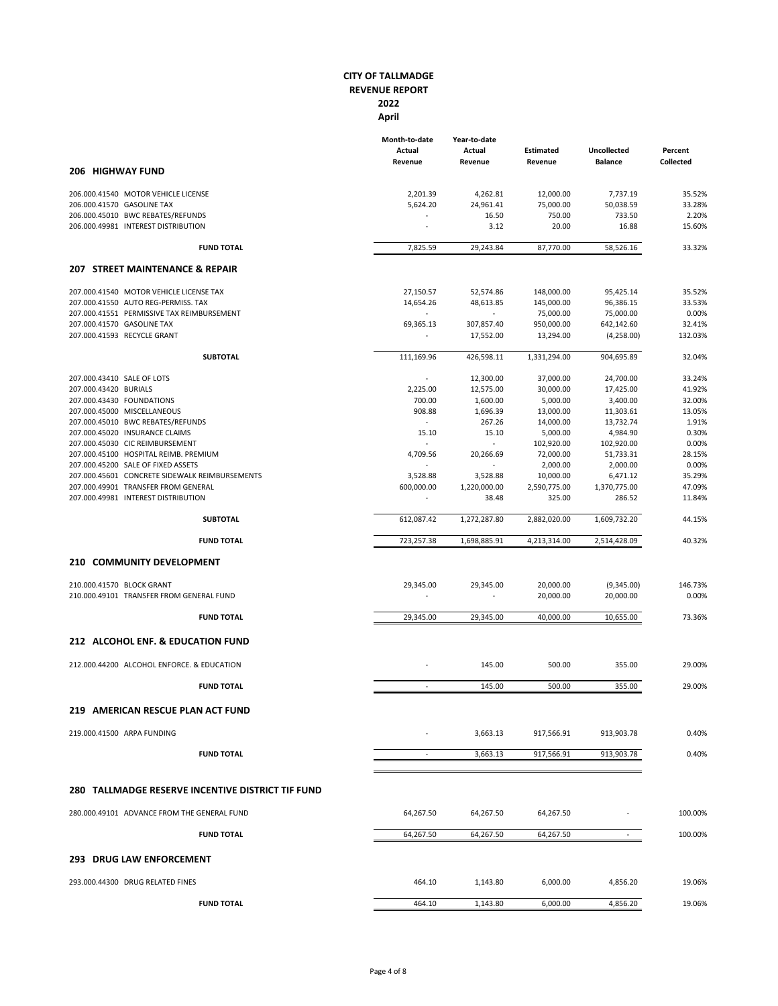|                                                                     | Month-to-date<br>Actual<br>Revenue | Year-to-date<br>Actual<br>Revenue | <b>Estimated</b><br>Revenue | Uncollected<br><b>Balance</b> | Percent<br><b>Collected</b> |
|---------------------------------------------------------------------|------------------------------------|-----------------------------------|-----------------------------|-------------------------------|-----------------------------|
| <b>206 HIGHWAY FUND</b>                                             |                                    |                                   |                             |                               |                             |
| 206.000.41540 MOTOR VEHICLE LICENSE                                 | 2,201.39                           | 4,262.81                          | 12,000.00                   | 7,737.19                      | 35.52%                      |
| 206.000.41570 GASOLINE TAX                                          | 5,624.20                           | 24,961.41                         | 75,000.00                   | 50,038.59                     | 33.28%                      |
| 206.000.45010 BWC REBATES/REFUNDS                                   |                                    | 16.50                             | 750.00                      | 733.50                        | 2.20%                       |
| 206.000.49981 INTEREST DISTRIBUTION                                 |                                    | 3.12                              | 20.00                       | 16.88                         | 15.60%                      |
| <b>FUND TOTAL</b>                                                   | 7,825.59                           | 29,243.84                         | 87,770.00                   | 58,526.16                     | 33.32%                      |
| 207 STREET MAINTENANCE & REPAIR                                     |                                    |                                   |                             |                               |                             |
| 207.000.41540 MOTOR VEHICLE LICENSE TAX                             | 27,150.57                          | 52,574.86                         | 148,000.00                  | 95,425.14                     | 35.52%                      |
| 207.000.41550 AUTO REG-PERMISS. TAX                                 | 14,654.26                          | 48,613.85                         | 145,000.00                  | 96,386.15                     | 33.53%                      |
| 207.000.41551 PERMISSIVE TAX REIMBURSEMENT                          |                                    |                                   | 75,000.00                   | 75,000.00                     | 0.00%                       |
| 207.000.41570 GASOLINE TAX                                          | 69,365.13                          | 307,857.40                        | 950,000.00                  | 642,142.60                    | 32.41%                      |
| 207.000.41593 RECYCLE GRANT                                         | $\omega$                           | 17,552.00                         | 13,294.00                   | (4,258.00)                    | 132.03%                     |
| <b>SUBTOTAL</b>                                                     | 111,169.96                         | 426,598.11                        | 1,331,294.00                | 904,695.89                    | 32.04%                      |
| 207.000.43410 SALE OF LOTS                                          |                                    | 12,300.00                         | 37,000.00                   | 24,700.00                     | 33.24%                      |
| 207.000.43420 BURIALS                                               | 2,225.00                           | 12,575.00                         | 30,000.00                   | 17,425.00                     | 41.92%                      |
| 207.000.43430 FOUNDATIONS                                           | 700.00                             | 1,600.00                          | 5,000.00                    | 3,400.00                      | 32.00%                      |
| 207.000.45000 MISCELLANEOUS                                         | 908.88<br>$\sim$                   | 1,696.39                          | 13,000.00                   | 11,303.61                     | 13.05%<br>1.91%             |
| 207.000.45010 BWC REBATES/REFUNDS<br>207.000.45020 INSURANCE CLAIMS | 15.10                              | 267.26<br>15.10                   | 14,000.00<br>5,000.00       | 13,732.74<br>4,984.90         | 0.30%                       |
| 207.000.45030 CIC REIMBURSEMENT                                     | $\omega$                           | $\omega$                          | 102,920.00                  | 102,920.00                    | 0.00%                       |
| 207.000.45100 HOSPITAL REIMB. PREMIUM                               | 4,709.56                           | 20,266.69                         | 72,000.00                   | 51,733.31                     | 28.15%                      |
| 207.000.45200 SALE OF FIXED ASSETS                                  |                                    |                                   | 2,000.00                    | 2,000.00                      | 0.00%                       |
| 207.000.45601 CONCRETE SIDEWALK REIMBURSEMENTS                      | 3,528.88                           | 3,528.88                          | 10,000.00                   | 6,471.12                      | 35.29%                      |
| 207.000.49901 TRANSFER FROM GENERAL                                 | 600,000.00                         | 1,220,000.00                      | 2,590,775.00                | 1,370,775.00                  | 47.09%                      |
| 207.000.49981 INTEREST DISTRIBUTION                                 |                                    | 38.48                             | 325.00                      | 286.52                        | 11.84%                      |
| <b>SUBTOTAL</b>                                                     | 612,087.42                         | 1,272,287.80                      | 2,882,020.00                | 1,609,732.20                  | 44.15%                      |
| <b>FUND TOTAL</b>                                                   | 723,257.38                         | 1,698,885.91                      | 4,213,314.00                | 2,514,428.09                  | 40.32%                      |
| 210 COMMUNITY DEVELOPMENT                                           |                                    |                                   |                             |                               |                             |
| 210.000.41570 BLOCK GRANT                                           | 29,345.00                          | 29,345.00                         | 20,000.00                   | (9,345.00)                    | 146.73%                     |
| 210.000.49101 TRANSFER FROM GENERAL FUND                            |                                    |                                   | 20,000.00                   | 20,000.00                     | 0.00%                       |
| <b>FUND TOTAL</b>                                                   | 29,345.00                          | 29,345.00                         | 40,000.00                   | 10,655.00                     | 73.36%                      |
| 212 ALCOHOL ENF. & EDUCATION FUND                                   |                                    |                                   |                             |                               |                             |
|                                                                     |                                    |                                   |                             |                               |                             |
| 212.000.44200 ALCOHOL ENFORCE. & EDUCATION                          |                                    | 145.00                            | 500.00                      | 355.00                        | 29.00%                      |
| <b>FUND TOTAL</b>                                                   | $\omega$                           | 145.00                            | 500.00                      | 355.00                        | 29.00%                      |
| 219 AMERICAN RESCUE PLAN ACT FUND                                   |                                    |                                   |                             |                               |                             |
| 219.000.41500 ARPA FUNDING                                          |                                    | 3,663.13                          | 917,566.91                  | 913,903.78                    | 0.40%                       |
| <b>FUND TOTAL</b>                                                   | $\sim$                             | 3,663.13                          | 917,566.91                  | 913,903.78                    | 0.40%                       |
|                                                                     |                                    |                                   |                             |                               |                             |
| 280 TALLMADGE RESERVE INCENTIVE DISTRICT TIF FUND                   |                                    |                                   |                             |                               |                             |
| 280.000.49101 ADVANCE FROM THE GENERAL FUND                         | 64,267.50                          | 64,267.50                         | 64,267.50                   |                               | 100.00%                     |
| <b>FUND TOTAL</b>                                                   | 64,267.50                          | 64,267.50                         | 64,267.50                   | $\omega$                      | 100.00%                     |
| <b>293 DRUG LAW ENFORCEMENT</b>                                     |                                    |                                   |                             |                               |                             |
| 293.000.44300 DRUG RELATED FINES                                    | 464.10                             | 1,143.80                          | 6,000.00                    | 4,856.20                      | 19.06%                      |
| <b>FUND TOTAL</b>                                                   | 464.10                             | 1,143.80                          | 6,000.00                    | 4,856.20                      | 19.06%                      |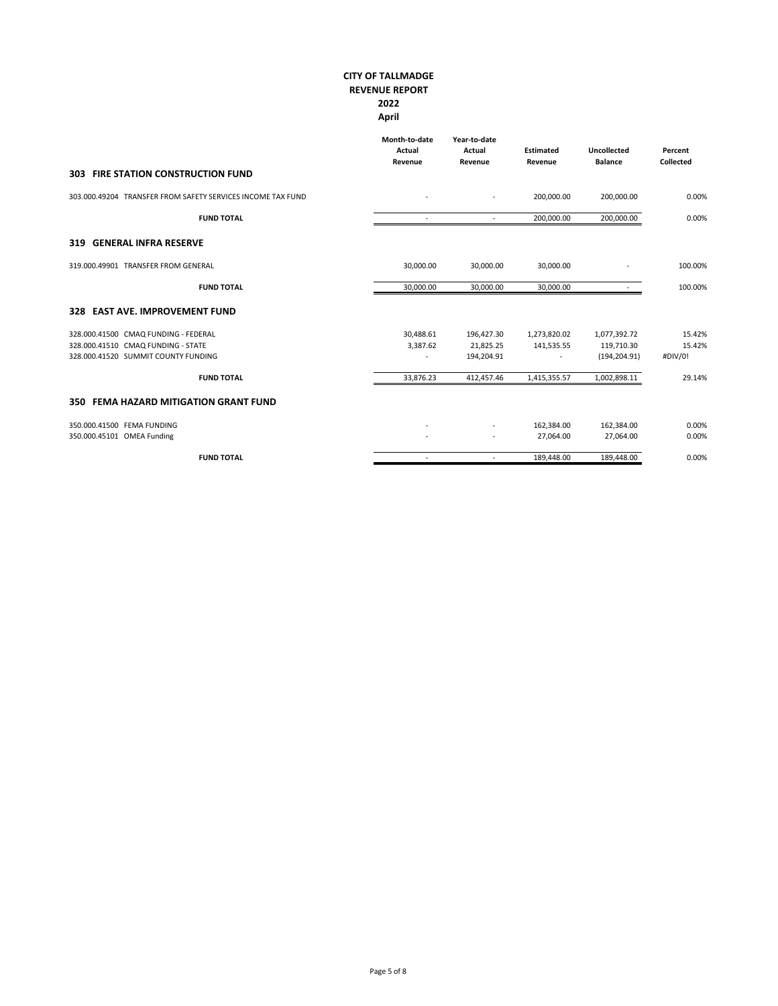|                                                             | Month-to-date<br>Actual<br>Revenue | Year-to-date<br>Actual<br>Revenue | <b>Estimated</b><br>Revenue | <b>Uncollected</b><br><b>Balance</b> | Percent<br><b>Collected</b> |
|-------------------------------------------------------------|------------------------------------|-----------------------------------|-----------------------------|--------------------------------------|-----------------------------|
| <b>303 FIRE STATION CONSTRUCTION FUND</b>                   |                                    |                                   |                             |                                      |                             |
| 303.000.49204 TRANSFER FROM SAFETY SERVICES INCOME TAX FUND |                                    | $\overline{\phantom{a}}$          | 200,000.00                  | 200,000.00                           | 0.00%                       |
| <b>FUND TOTAL</b>                                           |                                    | $\blacksquare$                    | 200,000.00                  | 200,000.00                           | 0.00%                       |
| <b>GENERAL INFRA RESERVE</b><br>319                         |                                    |                                   |                             |                                      |                             |
| 319.000.49901 TRANSFER FROM GENERAL                         | 30.000.00                          | 30.000.00                         | 30,000.00                   | ٠                                    | 100.00%                     |
| <b>FUND TOTAL</b>                                           | 30,000.00                          | 30,000.00                         | 30,000.00                   |                                      | 100.00%                     |
| 328 EAST AVE. IMPROVEMENT FUND                              |                                    |                                   |                             |                                      |                             |
| 328.000.41500 CMAQ FUNDING - FEDERAL                        | 30,488.61                          | 196,427.30                        | 1,273,820.02                | 1,077,392.72                         | 15.42%                      |
| 328.000.41510 CMAQ FUNDING - STATE                          | 3,387.62                           | 21,825.25                         | 141,535.55                  | 119,710.30                           | 15.42%                      |
| 328.000.41520 SUMMIT COUNTY FUNDING                         |                                    | 194,204.91                        | ÷,                          | (194, 204.91)                        | #DIV/0!                     |
| <b>FUND TOTAL</b>                                           | 33,876.23                          | 412,457.46                        | 1,415,355.57                | 1,002,898.11                         | 29.14%                      |
| <b>FEMA HAZARD MITIGATION GRANT FUND</b><br>350             |                                    |                                   |                             |                                      |                             |
| 350.000.41500 FEMA FUNDING                                  |                                    |                                   | 162,384.00                  | 162,384.00                           | 0.00%                       |
| 350.000.45101 OMEA Funding                                  |                                    |                                   | 27,064.00                   | 27,064.00                            | 0.00%                       |
| <b>FUND TOTAL</b>                                           |                                    | $\sim$                            | 189,448.00                  | 189,448.00                           | 0.00%                       |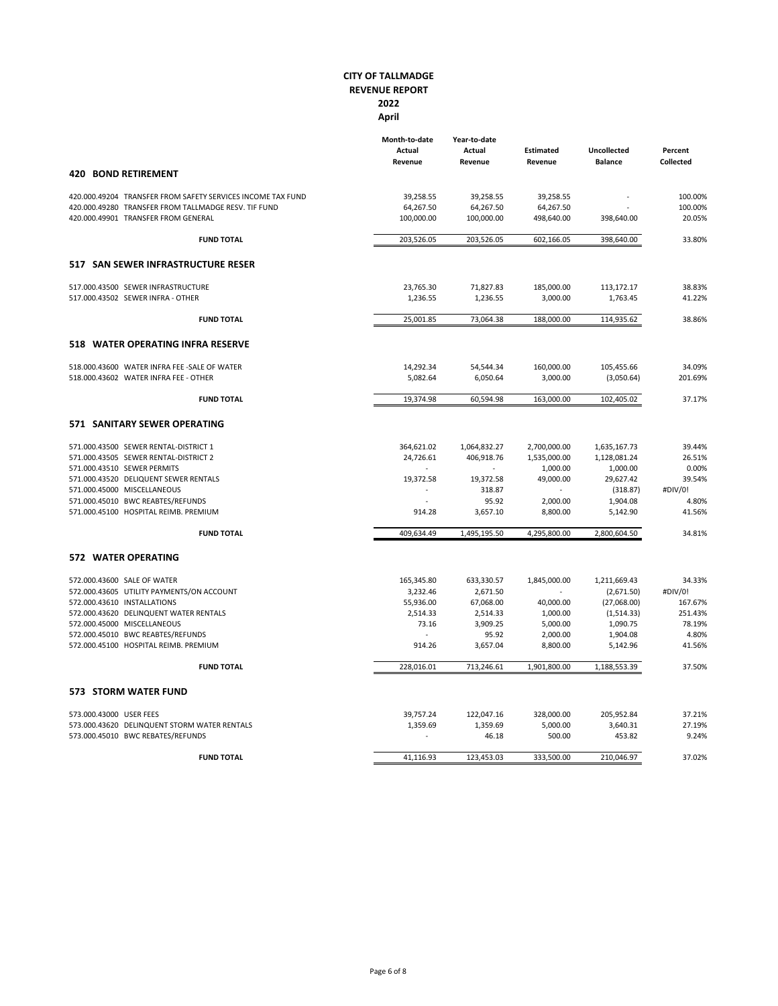|                                                             | Month-to-date<br>Actual<br>Revenue | Year-to-date<br>Actual<br>Revenue | <b>Estimated</b><br>Revenue | <b>Uncollected</b><br><b>Balance</b> | Percent<br><b>Collected</b> |
|-------------------------------------------------------------|------------------------------------|-----------------------------------|-----------------------------|--------------------------------------|-----------------------------|
| <b>BOND RETIREMENT</b><br>420                               |                                    |                                   |                             |                                      |                             |
| 420.000.49204 TRANSFER FROM SAFETY SERVICES INCOME TAX FUND | 39,258.55                          | 39,258.55                         | 39,258.55                   |                                      | 100.00%                     |
| 420.000.49280 TRANSFER FROM TALLMADGE RESV. TIF FUND        | 64,267.50                          | 64,267.50                         | 64,267.50                   |                                      | 100.00%                     |
| 420.000.49901 TRANSFER FROM GENERAL                         | 100,000.00                         | 100,000.00                        | 498,640.00                  | 398,640.00                           | 20.05%                      |
| <b>FUND TOTAL</b>                                           | 203,526.05                         | 203,526.05                        | 602.166.05                  | 398,640.00                           | 33.80%                      |
| 517 SAN SEWER INFRASTRUCTURE RESER                          |                                    |                                   |                             |                                      |                             |
| 517.000.43500 SEWER INFRASTRUCTURE                          | 23,765.30                          | 71,827.83                         | 185,000.00                  | 113,172.17                           | 38.83%                      |
| 517.000.43502 SEWER INFRA - OTHER                           | 1,236.55                           | 1,236.55                          | 3,000.00                    | 1,763.45                             | 41.22%                      |
| <b>FUND TOTAL</b>                                           | 25,001.85                          | 73,064.38                         | 188,000.00                  | 114,935.62                           | 38.86%                      |
| <b>WATER OPERATING INFRA RESERVE</b><br>518                 |                                    |                                   |                             |                                      |                             |
| 518.000.43600 WATER INFRA FEE -SALE OF WATER                | 14,292.34                          | 54,544.34                         | 160,000.00                  | 105,455.66                           | 34.09%                      |
| 518.000.43602 WATER INFRA FEE - OTHER                       | 5,082.64                           | 6,050.64                          | 3,000.00                    | (3,050.64)                           | 201.69%                     |
| <b>FUND TOTAL</b>                                           | 19,374.98                          | 60,594.98                         | 163,000.00                  | 102,405.02                           | 37.17%                      |
| <b>571 SANITARY SEWER OPERATING</b>                         |                                    |                                   |                             |                                      |                             |
| 571.000.43500 SEWER RENTAL-DISTRICT 1                       | 364,621.02                         | 1,064,832.27                      | 2,700,000.00                | 1,635,167.73                         | 39.44%                      |
| 571.000.43505 SEWER RENTAL-DISTRICT 2                       | 24,726.61                          | 406,918.76                        | 1,535,000.00                | 1,128,081.24                         | 26.51%                      |
| 571.000.43510 SEWER PERMITS                                 |                                    | $\mathbf{r}$                      | 1,000.00                    | 1,000.00                             | 0.00%                       |
| 571.000.43520 DELIQUENT SEWER RENTALS                       | 19,372.58                          | 19,372.58                         | 49,000.00                   | 29,627.42                            | 39.54%                      |
| 571.000.45000 MISCELLANEOUS                                 | $\sim$                             | 318.87                            |                             | (318.87)                             | #DIV/0!                     |
| 571.000.45010 BWC REABTES/REFUNDS                           |                                    | 95.92                             | 2,000.00                    | 1,904.08                             | 4.80%                       |
| 571.000.45100 HOSPITAL REIMB. PREMIUM                       | 914.28                             | 3,657.10                          | 8,800.00                    | 5,142.90                             | 41.56%                      |
| <b>FUND TOTAL</b>                                           | 409,634.49                         | 1,495,195.50                      | 4,295,800.00                | 2,800,604.50                         | 34.81%                      |
| <b>572 WATER OPERATING</b>                                  |                                    |                                   |                             |                                      |                             |
| 572.000.43600 SALE OF WATER                                 | 165,345.80                         | 633,330.57                        | 1,845,000.00                | 1,211,669.43                         | 34.33%                      |
| 572.000.43605 UTILITY PAYMENTS/ON ACCOUNT                   | 3,232.46                           | 2,671.50                          |                             | (2,671.50)                           | #DIV/0!                     |
| 572.000.43610 INSTALLATIONS                                 | 55,936.00                          | 67,068.00                         | 40,000.00                   | (27,068.00)                          | 167.67%                     |
| 572.000.43620 DELINQUENT WATER RENTALS                      | 2,514.33                           | 2,514.33                          | 1,000.00                    | (1, 514.33)                          | 251.43%                     |
| 572.000.45000 MISCELLANEOUS                                 | 73.16                              | 3,909.25                          | 5,000.00                    | 1,090.75                             | 78.19%                      |
| 572.000.45010 BWC REABTES/REFUNDS                           |                                    | 95.92                             | 2,000.00                    | 1,904.08                             | 4.80%                       |
| 572.000.45100 HOSPITAL REIMB. PREMIUM                       | 914.26                             | 3,657.04                          | 8,800.00                    | 5,142.96                             | 41.56%                      |
| <b>FUND TOTAL</b>                                           | 228,016.01                         | 713,246.61                        | 1,901,800.00                | 1,188,553.39                         | 37.50%                      |
| <b>573 STORM WATER FUND</b>                                 |                                    |                                   |                             |                                      |                             |
| 573.000.43000 USER FEES                                     | 39,757.24                          | 122,047.16                        | 328,000.00                  | 205,952.84                           | 37.21%                      |
| 573.000.43620 DELINQUENT STORM WATER RENTALS                | 1,359.69                           | 1,359.69                          | 5,000.00                    | 3,640.31                             | 27.19%                      |
| 573.000.45010 BWC REBATES/REFUNDS                           |                                    | 46.18                             | 500.00                      | 453.82                               | 9.24%                       |
| <b>FUND TOTAL</b>                                           | 41,116.93                          | 123,453.03                        | 333,500.00                  | 210,046.97                           | 37.02%                      |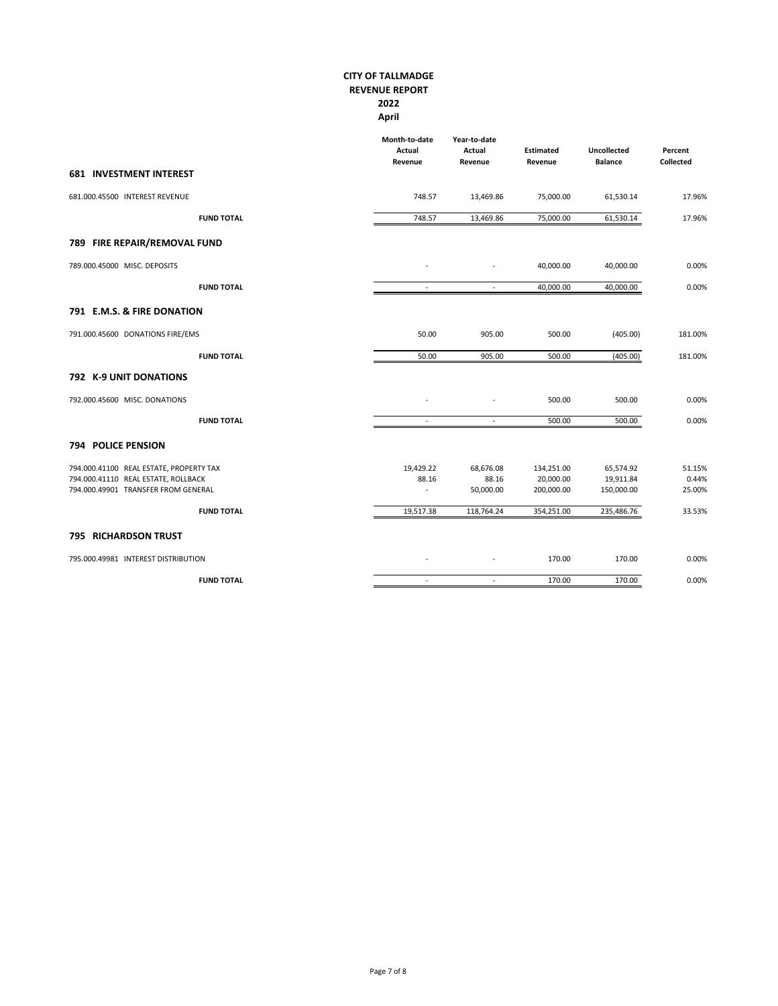|                                                                                                                       | Month-to-date<br>Actual<br>Revenue | Year-to-date<br>Actual<br>Revenue | <b>Estimated</b><br>Revenue           | <b>Uncollected</b><br><b>Balance</b> | Percent<br>Collected      |
|-----------------------------------------------------------------------------------------------------------------------|------------------------------------|-----------------------------------|---------------------------------------|--------------------------------------|---------------------------|
| <b>681 INVESTMENT INTEREST</b>                                                                                        |                                    |                                   |                                       |                                      |                           |
| 681.000.45500 INTEREST REVENUE                                                                                        | 748.57                             | 13,469.86                         | 75,000.00                             | 61,530.14                            | 17.96%                    |
| <b>FUND TOTAL</b>                                                                                                     | 748.57                             | 13,469.86                         | 75,000.00                             | 61,530.14                            | 17.96%                    |
| 789 FIRE REPAIR/REMOVAL FUND                                                                                          |                                    |                                   |                                       |                                      |                           |
| 789.000.45000 MISC. DEPOSITS                                                                                          |                                    | $\overline{\phantom{a}}$          | 40,000.00                             | 40,000.00                            | 0.00%                     |
| <b>FUND TOTAL</b>                                                                                                     | $\sim$                             | $\sim$                            | 40,000.00                             | 40,000.00                            | 0.00%                     |
| 791 E.M.S. & FIRE DONATION                                                                                            |                                    |                                   |                                       |                                      |                           |
| 791.000.45600 DONATIONS FIRE/EMS                                                                                      | 50.00                              | 905.00                            | 500.00                                | (405.00)                             | 181.00%                   |
| <b>FUND TOTAL</b>                                                                                                     | 50.00                              | 905.00                            | 500.00                                | (405.00)                             | 181.00%                   |
| 792 K-9 UNIT DONATIONS                                                                                                |                                    |                                   |                                       |                                      |                           |
| 792.000.45600 MISC. DONATIONS                                                                                         |                                    |                                   | 500.00                                | 500.00                               | 0.00%                     |
| <b>FUND TOTAL</b>                                                                                                     | $\sim$                             | $\sim$                            | 500.00                                | 500.00                               | 0.00%                     |
| <b>794 POLICE PENSION</b>                                                                                             |                                    |                                   |                                       |                                      |                           |
| 794.000.41100 REAL ESTATE, PROPERTY TAX<br>794.000.41110 REAL ESTATE, ROLLBACK<br>794.000.49901 TRANSFER FROM GENERAL | 19,429.22<br>88.16<br>$\equiv$     | 68,676.08<br>88.16<br>50,000.00   | 134,251.00<br>20,000.00<br>200,000.00 | 65,574.92<br>19,911.84<br>150,000.00 | 51.15%<br>0.44%<br>25.00% |
| <b>FUND TOTAL</b>                                                                                                     | 19,517.38                          | 118,764.24                        | 354,251.00                            | 235,486.76                           | 33.53%                    |
| <b>795 RICHARDSON TRUST</b>                                                                                           |                                    |                                   |                                       |                                      |                           |
| 795.000.49981 INTEREST DISTRIBUTION                                                                                   |                                    |                                   | 170.00                                | 170.00                               | 0.00%                     |
| <b>FUND TOTAL</b>                                                                                                     | $\sim$                             | $\sim$                            | 170.00                                | 170.00                               | 0.00%                     |